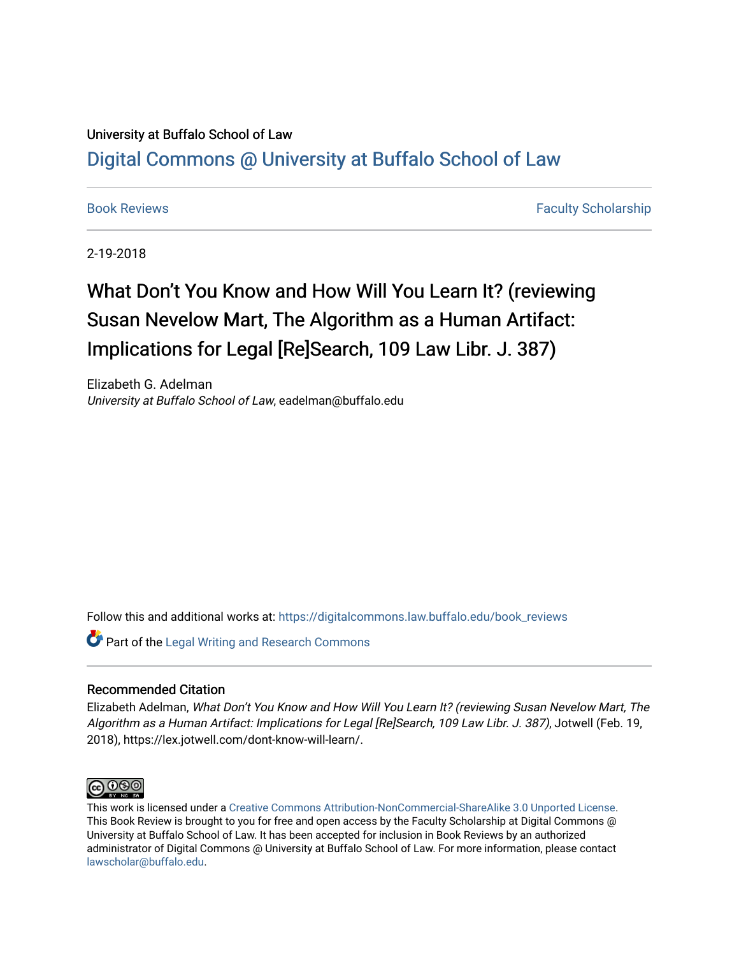## University at Buffalo School of Law [Digital Commons @ University at Buffalo School of Law](https://digitalcommons.law.buffalo.edu/)

[Book Reviews](https://digitalcommons.law.buffalo.edu/book_reviews) Faculty Scholarship

2-19-2018

# What Don't You Know and How Will You Learn It? (reviewing Susan Nevelow Mart, The Algorithm as a Human Artifact: Implications for Legal [Re]Search, 109 Law Libr. J. 387)

Elizabeth G. Adelman University at Buffalo School of Law, eadelman@buffalo.edu

Follow this and additional works at: [https://digitalcommons.law.buffalo.edu/book\\_reviews](https://digitalcommons.law.buffalo.edu/book_reviews?utm_source=digitalcommons.law.buffalo.edu%2Fbook_reviews%2F93&utm_medium=PDF&utm_campaign=PDFCoverPages) 

Part of the [Legal Writing and Research Commons](http://network.bepress.com/hgg/discipline/614?utm_source=digitalcommons.law.buffalo.edu%2Fbook_reviews%2F93&utm_medium=PDF&utm_campaign=PDFCoverPages) 

### Recommended Citation

Elizabeth Adelman, What Don't You Know and How Will You Learn It? (reviewing Susan Nevelow Mart, The Algorithm as a Human Artifact: Implications for Legal [Re]Search, 109 Law Libr. J. 387), Jotwell (Feb. 19, 2018), https://lex.jotwell.com/dont-know-will-learn/.



This work is licensed under a [Creative Commons Attribution-NonCommercial-ShareAlike 3.0 Unported License](http://creativecommons.org/licenses/by-nc-sa/3.0/). This Book Review is brought to you for free and open access by the Faculty Scholarship at Digital Commons @ University at Buffalo School of Law. It has been accepted for inclusion in Book Reviews by an authorized administrator of Digital Commons @ University at Buffalo School of Law. For more information, please contact [lawscholar@buffalo.edu](mailto:lawscholar@buffalo.edu).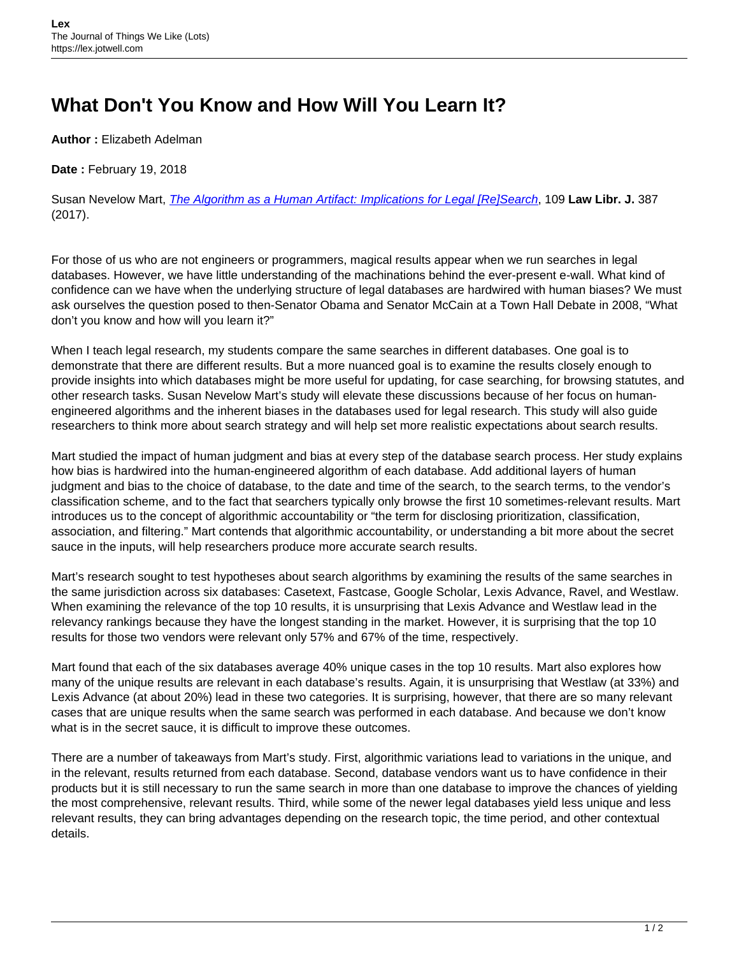# **What Don't You Know and How Will You Learn It?**

**Author :** Elizabeth Adelman

**Date :** February 19, 2018

Susan Nevelow Mart, [The Algorithm as a Human Artifact: Implications for Legal \[Re\]Search](http://scholar.law.colorado.edu/articles/755/), 109 **Law Libr. J.** 387 (2017).

For those of us who are not engineers or programmers, magical results appear when we run searches in legal databases. However, we have little understanding of the machinations behind the ever-present e-wall. What kind of confidence can we have when the underlying structure of legal databases are hardwired with human biases? We must ask ourselves the question posed to then-Senator Obama and Senator McCain at a Town Hall Debate in 2008, "What don't you know and how will you learn it?"

When I teach legal research, my students compare the same searches in different databases. One goal is to demonstrate that there are different results. But a more nuanced goal is to examine the results closely enough to provide insights into which databases might be more useful for updating, for case searching, for browsing statutes, and other research tasks. Susan Nevelow Mart's study will elevate these discussions because of her focus on humanengineered algorithms and the inherent biases in the databases used for legal research. This study will also guide researchers to think more about search strategy and will help set more realistic expectations about search results.

Mart studied the impact of human judgment and bias at every step of the database search process. Her study explains how bias is hardwired into the human-engineered algorithm of each database. Add additional layers of human judgment and bias to the choice of database, to the date and time of the search, to the search terms, to the vendor's classification scheme, and to the fact that searchers typically only browse the first 10 sometimes-relevant results. Mart introduces us to the concept of algorithmic accountability or "the term for disclosing prioritization, classification, association, and filtering." Mart contends that algorithmic accountability, or understanding a bit more about the secret sauce in the inputs, will help researchers produce more accurate search results.

Mart's research sought to test hypotheses about search algorithms by examining the results of the same searches in the same jurisdiction across six databases: Casetext, Fastcase, Google Scholar, Lexis Advance, Ravel, and Westlaw. When examining the relevance of the top 10 results, it is unsurprising that Lexis Advance and Westlaw lead in the relevancy rankings because they have the longest standing in the market. However, it is surprising that the top 10 results for those two vendors were relevant only 57% and 67% of the time, respectively.

Mart found that each of the six databases average 40% unique cases in the top 10 results. Mart also explores how many of the unique results are relevant in each database's results. Again, it is unsurprising that Westlaw (at 33%) and Lexis Advance (at about 20%) lead in these two categories. It is surprising, however, that there are so many relevant cases that are unique results when the same search was performed in each database. And because we don't know what is in the secret sauce, it is difficult to improve these outcomes.

There are a number of takeaways from Mart's study. First, algorithmic variations lead to variations in the unique, and in the relevant, results returned from each database. Second, database vendors want us to have confidence in their products but it is still necessary to run the same search in more than one database to improve the chances of yielding the most comprehensive, relevant results. Third, while some of the newer legal databases yield less unique and less relevant results, they can bring advantages depending on the research topic, the time period, and other contextual details.